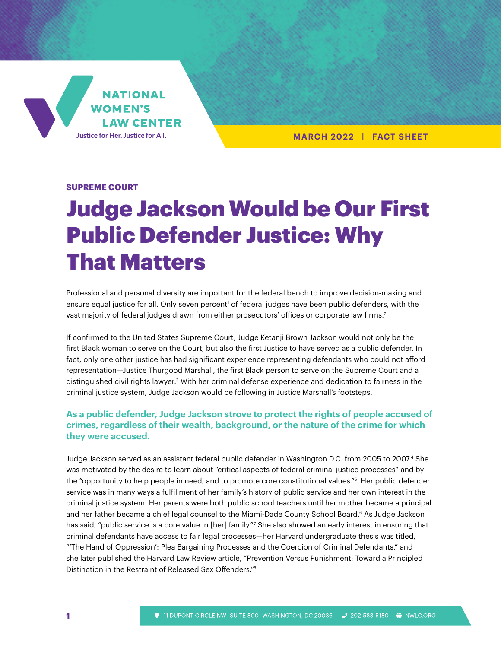

**MARCH 2022 | FACT SHEET**

#### **SUPREME COURT**

# Judge Jackson Would be Our First Public Defender Justice: Why That Matters

Professional and personal diversity are important for the federal bench to improve decision-making and ensure equal justice for all. Only seven percent<sup>1</sup> of federal judges have been public defenders, with the vast majority of federal judges drawn from either prosecutors' offices or corporate law firms. $^2$ 

If confirmed to the United States Supreme Court, Judge Ketanji Brown Jackson would not only be the first Black woman to serve on the Court, but also the first Justice to have served as a public defender. In fact, only one other justice has had significant experience representing defendants who could not afford representation—Justice Thurgood Marshall, the first Black person to serve on the Supreme Court and a distinguished civil rights lawyer.3 With her criminal defense experience and dedication to fairness in the criminal justice system, Judge Jackson would be following in Justice Marshall's footsteps.

## **As a public defender, Judge Jackson strove to protect the rights of people accused of crimes, regardless of their wealth, background, or the nature of the crime for which they were accused.**

Judge Jackson served as an assistant federal public defender in Washington D.C. from 2005 to 2007.4 She was motivated by the desire to learn about "critical aspects of federal criminal justice processes" and by the "opportunity to help people in need, and to promote core constitutional values."<sup>5</sup> Her public defender service was in many ways a fulfillment of her family's history of public service and her own interest in the criminal justice system. Her parents were both public school teachers until her mother became a principal and her father became a chief legal counsel to the Miami-Dade County School Board.<sup>6</sup> As Judge Jackson has said, "public service is a core value in [her] family."7 She also showed an early interest in ensuring that criminal defendants have access to fair legal processes—her Harvard undergraduate thesis was titled, "'The Hand of Oppression': Plea Bargaining Processes and the Coercion of Criminal Defendants," and she later published the Harvard Law Review article, "Prevention Versus Punishment: Toward a Principled Distinction in the Restraint of Released Sex Offenders."8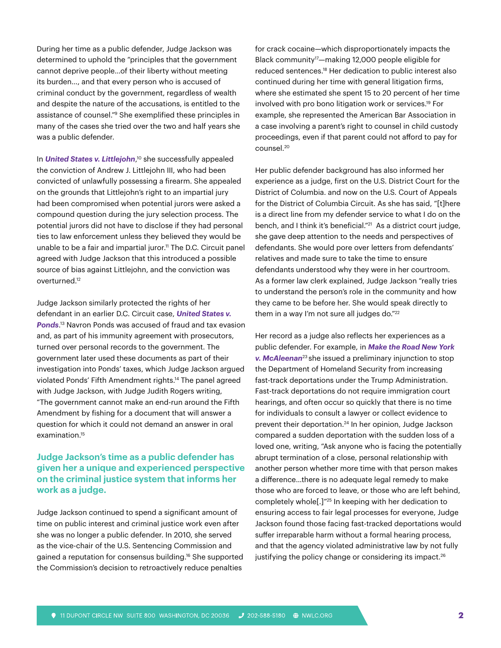During her time as a public defender, Judge Jackson was determined to uphold the "principles that the government cannot deprive people…of their liberty without meeting its burden…, and that every person who is accused of criminal conduct by the government, regardless of wealth and despite the nature of the accusations, is entitled to the assistance of counsel."9 She exemplified these principles in many of the cases she tried over the two and half years she was a public defender.

In *United States v. Littlejohn*, 10 she successfully appealed the conviction of Andrew J. Littlejohn III, who had been convicted of unlawfully possessing a firearm. She appealed on the grounds that Littlejohn's right to an impartial jury had been compromised when potential jurors were asked a compound question during the jury selection process. The potential jurors did not have to disclose if they had personal ties to law enforcement unless they believed they would be unable to be a fair and impartial juror.<sup>11</sup> The D.C. Circuit panel agreed with Judge Jackson that this introduced a possible source of bias against Littlejohn, and the conviction was overturned.12

Judge Jackson similarly protected the rights of her defendant in an earlier D.C. Circuit case, *United States v. Ponds*. 13 Navron Ponds was accused of fraud and tax evasion and, as part of his immunity agreement with prosecutors, turned over personal records to the government. The government later used these documents as part of their investigation into Ponds' taxes, which Judge Jackson argued violated Ponds' Fifth Amendment rights.14 The panel agreed with Judge Jackson, with Judge Judith Rogers writing, "The government cannot make an end-run around the Fifth Amendment by fishing for a document that will answer a question for which it could not demand an answer in oral examination.15

## **Judge Jackson's time as a public defender has given her a unique and experienced perspective on the criminal justice system that informs her work as a judge.**

Judge Jackson continued to spend a significant amount of time on public interest and criminal justice work even after she was no longer a public defender. In 2010, she served as the vice-chair of the U.S. Sentencing Commission and gained a reputation for consensus building.16 She supported the Commission's decision to retroactively reduce penalties

for crack cocaine—which disproportionately impacts the Black community17—making 12,000 people eligible for reduced sentences.18 Her dedication to public interest also continued during her time with general litigation firms, where she estimated she spent 15 to 20 percent of her time involved with pro bono litigation work or services.19 For example, she represented the American Bar Association in a case involving a parent's right to counsel in child custody proceedings, even if that parent could not afford to pay for counsel.20

Her public defender background has also informed her experience as a judge, first on the U.S. District Court for the District of Columbia. and now on the U.S. Court of Appeals for the District of Columbia Circuit. As she has said, "[t]here is a direct line from my defender service to what I do on the bench, and I think it's beneficial."<sup>21</sup> As a district court judge, she gave deep attention to the needs and perspectives of defendants. She would pore over letters from defendants' relatives and made sure to take the time to ensure defendants understood why they were in her courtroom. As a former law clerk explained, Judge Jackson "really tries to understand the person's role in the community and how they came to be before her. She would speak directly to them in a way I'm not sure all judges do."<sup>22</sup>

Her record as a judge also reflects her experiences as a public defender. For example, in *Make the Road New York v. McAleenan*23 she issued a preliminary injunction to stop the Department of Homeland Security from increasing fast-track deportations under the Trump Administration. Fast-track deportations do not require immigration court hearings, and often occur so quickly that there is no time for individuals to consult a lawyer or collect evidence to prevent their deportation.24 In her opinion, Judge Jackson compared a sudden deportation with the sudden loss of a loved one, writing, "Ask anyone who is facing the potentially abrupt termination of a close, personal relationship with another person whether more time with that person makes a difference…there is no adequate legal remedy to make those who are forced to leave, or those who are left behind, completely whole[.]"25 In keeping with her dedication to ensuring access to fair legal processes for everyone, Judge Jackson found those facing fast-tracked deportations would suffer irreparable harm without a formal hearing process, and that the agency violated administrative law by not fully justifying the policy change or considering its impact.<sup>26</sup>